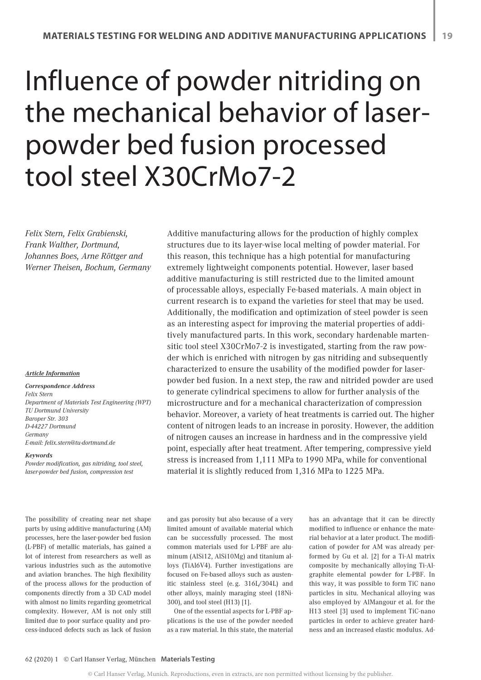# Influence of powder nitriding on the mechanical behavior of laserpowder bed fusion processed tool steel X30CrMo7-2

*Felix Stern, Felix Grabienski, Frank Walther, Dortmund, Johannes Boes, Arne Röttger and Werner Theisen, Bochum, Germany*

#### *Article Information*

*Correspondence Address Felix Stern Department of Materials Test Engineering (WPT) TU Dortmund University Baroper Str. 303 D-44227 Dortmund Germany E-mail: felix.stern@tu-dortmund.de*

#### *Keywords*

*Powder modification, gas nitriding, tool steel, laser-powder bed fusion, compression test*

The possibility of creating near net shape parts by using additive manufacturing (AM) processes, here the laser-powder bed fusion (L-PBF) of metallic materials, has gained a lot of interest from researchers as well as various industries such as the automotive and aviation branches. The high flexibility of the process allows for the production of components directly from a 3D CAD model with almost no limits regarding geometrical complexity. However, AM is not only still limited due to poor surface quality and process-induced defects such as lack of fusion Additive manufacturing allows for the production of highly complex structures due to its layer-wise local melting of powder material. For this reason, this technique has a high potential for manufacturing extremely lightweight components potential. However, laser based additive manufacturing is still restricted due to the limited amount of processable alloys, especially Fe-based materials. A main object in current research is to expand the varieties for steel that may be used. Additionally, the modification and optimization of steel powder is seen as an interesting aspect for improving the material properties of additively manufactured parts. In this work, secondary hardenable martensitic tool steel X30CrMo7-2 is investigated, starting from the raw powder which is enriched with nitrogen by gas nitriding and subsequently characterized to ensure the usability of the modified powder for laserpowder bed fusion. In a next step, the raw and nitrided powder are used to generate cylindrical specimens to allow for further analysis of the microstructure and for a mechanical characterization of compression behavior. Moreover, a variety of heat treatments is carried out. The higher content of nitrogen leads to an increase in porosity. However, the addition of nitrogen causes an increase in hardness and in the compressive yield point, especially after heat treatment. After tempering, compressive yield stress is increased from 1,111 MPa to 1990 MPa, while for conventional material it is slightly reduced from 1,316 MPa to 1225 MPa.

and gas porosity but also because of a very limited amount of available material which can be successfully processed. The most common materials used for L-PBF are aluminum (AlSi12, AlSi10Mg) and titanium alloys (TiAl6V4). Further investigations are focused on Fe-based alloys such as austenitic stainless steel (e. g. 316L/304L) and other alloys, mainly maraging steel (18Ni-300), and tool steel (H13) [1].

One of the essential aspects for L-PBF applications is the use of the powder needed as a raw material. In this state, the material has an advantage that it can be directly modified to influence or enhance the material behavior at a later product. The modification of powder for AM was already performed by Gu et al. [2] for a Ti-Al matrix composite by mechanically alloying Ti-Algraphite elemental powder for L-PBF. In this way, it was possible to form TiC nano particles in situ. Mechanical alloying was also employed by AlMangour et al. for the H13 steel [3] used to implement TiC-nano particles in order to achieve greater hardness and an increased elastic modulus. Ad-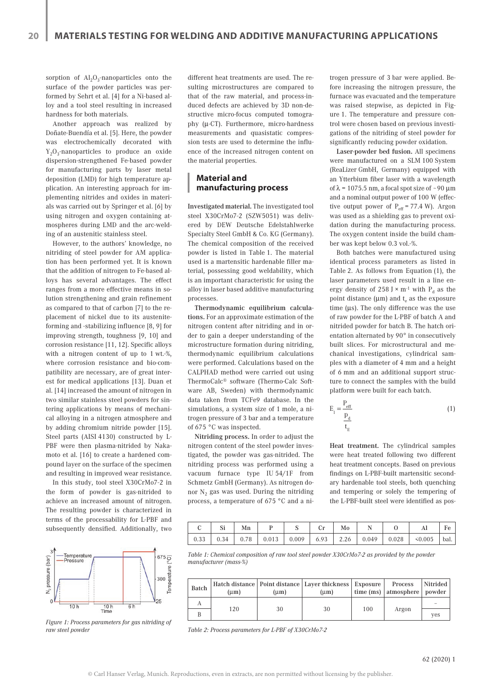sorption of  $Al_2O_3$ -nanoparticles onto the surface of the powder particles was performed by Sehrt et al. [4] for a Ni-based alloy and a tool steel resulting in increased hardness for both materials.

Another approach was realized by Doñate-Buendía et al. [5]. Here, the powder was electrochemically decorated with  $Y_2O_3$ -nanoparticles to produce an oxide dispersion-strengthened Fe-based powder for manufacturing parts by laser metal deposition (LMD) for high temperature application. An interesting approach for implementing nitrides and oxides in materials was carried out by Springer et al. [6] by using nitrogen and oxygen containing atmospheres during LMD and the arc-welding of an austenitic stainless steel.

However, to the authors' knowledge, no nitriding of steel powder for AM application has been performed yet. It is known that the addition of nitrogen to Fe-based alloys has several advantages. The effect ranges from a more effective means in solution strengthening and grain refinement as compared to that of carbon [7] to the replacement of nickel due to its austeniteforming and -stabilizing influence [8, 9] for improving strength, toughness [9, 10] and corrosion resistance [11, 12]. Specific alloys with a nitrogen content of up to 1 wt.-%, where corrosion resistance and bio-compatibility are necessary, are of great interest for medical applications [13]. Duan et al. [14] increased the amount of nitrogen in two similar stainless steel powders for sintering applications by means of mechanical alloying in a nitrogen atmosphere and by adding chromium nitride powder [15]. Steel parts (AISI 4130) constructed by L-PBF were then plasma-nitrided by Nakamoto et al. [16] to create a hardened compound layer on the surface of the specimen and resulting in improved wear resistance.

In this study, tool steel X30CrMo7-2 in the form of powder is gas-nitrided to achieve an increased amount of nitrogen. The resulting powder is characterized in terms of the processability for L-PBF and subsequently densified. Additionally, two



*Figure 1: Process parameters for gas nitriding of raw steel powder*

different heat treatments are used. The resulting microstructures are compared to that of the raw material, and process-induced defects are achieved by 3D non-destructive micro-focus computed tomography (µ-CT). Furthermore, micro-hardness measurements and quasistatic compression tests are used to determine the influence of the increased nitrogen content on the material properties.

## **Material and manufacturing process**

Investigated material. The investigated tool steel X30CrMo7-2 (SZW5051) was delivered by DEW Deutsche Edelstahlwerke Specialty Steel GmbH & Co. KG (Germany). The chemical composition of the received powder is listed in Table 1. The material used is a martensitic hardenable filler material, possessing good weldability, which is an important characteristic for using the alloy in laser based additive manufacturing processes.

Thermodynamic equilibrium calculations. For an approximate estimation of the nitrogen content after nitriding and in order to gain a deeper understanding of the microstructure formation during nitriding, thermodynamic equilibrium calculations were performed. Calculations based on the CALPHAD method were carried out using ThermoCalc® software (Thermo-Calc Software AB, Sweden) with thermodynamic data taken from TCFe9 database. In the simulations, a system size of 1 mole, a nitrogen pressure of 3 bar and a temperature of 675 °C was inspected.

Nitriding process. In order to adjust the nitrogen content of the steel powder investigated, the powder was gas-nitrided. The nitriding process was performed using a vacuum furnace type IU 54/1F from Schmetz GmbH (Germany). As nitrogen donor  $N<sub>2</sub>$  gas was used. During the nitriding process, a temperature of 675 °C and a ni-

trogen pressure of 3 bar were applied. Before increasing the nitrogen pressure, the furnace was evacuated and the temperature was raised stepwise, as depicted in Figure 1. The temperature and pressure control were chosen based on previous investigations of the nitriding of steel powder for significantly reducing powder oxidation.

Laser-powder bed fusion. All specimens were manufactured on a SLM 100 System (ReaLizer GmbH, Germany) equipped with an Ytterbium fiber laser with a wavelength of  $\lambda$  = 1075.5 nm, a focal spot size of ~90  $\mu$ m and a nominal output power of 100 W (effective output power of  $P_{\text{eff}} = 77.4 \text{ W}$ ). Argon was used as a shielding gas to prevent oxidation during the manufacturing process. The oxygen content inside the build chamber was kept below 0.3 vol.-%.

Both batches were manufactured using identical process parameters as listed in Table 2. As follows from Equation (1), the laser parameters used result in a line energy density of 258 J  $\times$  m<sup>-1</sup> with P<sub>d</sub> as the point distance ( $\mu$ m) and  $t_e$  as the exposure time (µs). The only difference was the use of raw powder for the L-PBF of batch A and nitrided powder for batch B. The hatch orientation alternated by 90° in consecutively built slices. For microstructural and mechanical investigations, cylindrical samples with a diameter of 4 mm and a height of 6 mm and an additional support structure to connect the samples with the build platform were built for each batch.

$$
E_1 = \frac{P_{eff}}{\frac{P_d}{t_E}}
$$
 (1)

Heat treatment. The cylindrical samples were heat treated following two different heat treatment concepts. Based on previous findings on L-PBF-built martensitic secondary hardenable tool steels, both quenching and tempering or solely the tempering of the L-PBF-built steel were identified as pos-

|  | Mn |  | Mo |  |                                                                           | Fe       |
|--|----|--|----|--|---------------------------------------------------------------------------|----------|
|  |    |  |    |  | 0.33   0.34   0.78   0.013   0.009   6.93   2.26   0.049   0.028   <0.005 | $ $ bal. |

*Table 1: Chemical composition of raw tool steel powder X30CrMo7-2 as provided by the powder manufacturer (mass-%)*

| <b>Batch</b> | (um) | (um) | Hatch distance   Point distance   Layer thickness   Exposure  <br>(um) |     | Process<br>time (ms)   atmosphere   powder | Nitrided |
|--------------|------|------|------------------------------------------------------------------------|-----|--------------------------------------------|----------|
| Α            | 120  |      |                                                                        |     |                                            |          |
|              |      | 30   | 30                                                                     | 100 | Argon                                      | ves      |

*Table 2: Process parameters for L-PBF of X30CrMo7-2*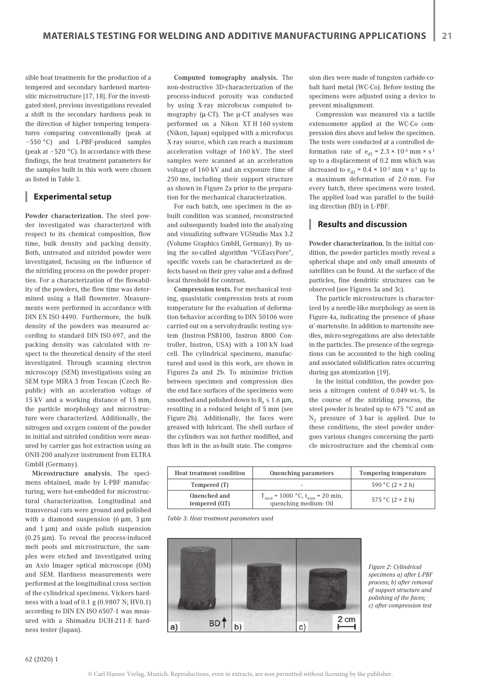sible heat treatments for the production of a tempered and secondary hardened martensitic microstructure [17, 18]. For the investigated steel, previous investigations revealed a shift in the secondary hardness peak in the direction of higher tempering temperatures comparing conventionally (peak at ~550 °C) and L-PBF-produced samples (peak at  $\sim$  520 °C). In accordance with these findings, the heat treatment parameters for the samples built in this work were chosen as listed in Table 3.

## **Experimental setup**

Powder characterization. The steel powder investigated was characterized with respect to its chemical composition, flow time, bulk density and packing density. Both, untreated and nitrided powder were investigated, focusing on the influence of the nitriding process on the powder properties. For a characterization of the flowability of the powders, the flow time was determined using a Hall flowmeter. Measurements were performed in accordance with DIN EN ISO 4490. Furthermore, the bulk density of the powders was measured according to standard DIN ISO 697, and the packing density was calculated with respect to the theoretical density of the steel investigated. Through scanning electron microscopy (SEM) investigations using an SEM type MIRA 3 from Tescan (Czech Republic) with an acceleration voltage of 15 kV and a working distance of 15 mm, the particle morphology and microstructure were characterized. Additionally, the nitrogen and oxygen content of the powder in initial and nitrided condition were measured by carrier gas hot extraction using an ONH-200 analyzer instrument from ELTRA GmbH (Germany).

Microstructure analysis. The specimens obtained, made by L-PBF manufacturing, were hot-embedded for microstructural characterization. Longitudinal and transversal cuts were ground and polished with a diamond suspension (6  $\mu$ m, 3  $\mu$ m and  $1 \mu m$ ) and oxide polish suspension  $(0.25 \mu m)$ . To reveal the process-induced melt pools and microstructure, the samples were etched and investigated using an Axio Imager optical microscope (OM) and SEM. Hardness measurements were performed at the longitudinal cross section of the cylindrical specimens. Vickers hardness with a load of 0.1 g (0.9807 N; HV0.1) according to DIN EN ISO 6507-1 was measured with a Shimadzu DUH-211-E hardness tester (Japan).

Computed tomography analysis. The non-destructive 3D-characterization of the process-induced porosity was conducted by using X-ray microfocus computed tomography ( $\mu$ -CT). The  $\mu$ -CT analyses was performed on a Nikon XT H 160 system (Nikon, Japan) equipped with a microfocus X-ray source, which can reach a maximum acceleration voltage of 160 kV. The steel samples were scanned at an acceleration voltage of 160 kV and an exposure time of 250 ms, including their support structure as shown in Figure 2a prior to the preparation for the mechanical characterization.

For each batch, one specimen in the asbuilt condition was scanned, reconstructed and subsequently loaded into the analyzing and visualizing software VGStudio Max 3.2 (Volume Graphics GmbH, Germany). By using the so-called algorithm "VGEasyPore", specific voxels can be characterized as defects based on their grey value and a defined local threshold for contrast.

Compression tests. For mechanical testing, quasistatic compression tests at room temperature for the evaluation of deformation behavior according to DIN 50106 were carried out on a servohydraulic testing system (Instron PSB100, Instron 8800 Controller, Instron, USA) with a 100 kN load cell. The cylindrical specimens, manufactured and used in this work, are shown in Figures 2a and 2b. To minimize friction between specimen and compression dies the end face surfaces of the specimens were smoothed and polished down to  $R_{z} \leq 1.6 \mu m$ , resulting in a reduced height of 5 mm (see Figure 2b). Additionally, the faces were greased with lubricant. The shell surface of the cylinders was not further modified, and thus left in the as-built state. The compression dies were made of tungsten carbide-cobalt hard metal (WC-Co). Before testing the specimens were adjusted using a device to prevent misalignment.

Compression was measured via a tactile extensometer applied at the WC-Co compression dies above and below the specimen. The tests were conducted at a controlled deformation rate of  $e_{d1} = 2.3 \times 10^{-3}$  mm  $\times$  s<sup>-1</sup> up to a displacement of 0.2 mm which was increased to  $e_{d2} = 0.4 \times 10^{-1}$  mm  $\times$  s<sup>-1</sup> up to a maximum deformation of 2.0 mm. For every batch, three specimens were tested. The applied load was parallel to the building direction (BD) in L-PBF.

## **Results and discussion**

Powder characterization. In the initial condition, the powder particles mostly reveal a spherical shape and only small amounts of satellites can be found. At the surface of the particles, fine dendritic structures can be observed (see Figures 3a and 3c).

The particle microstructure is characterized by a needle-like morphology as seen in Figure 4a, indicating the presence of phase α'-martensite. In addition to martensite needles, micro-segregations are also detectable in the particles. The presence of the segregations can be accounted to the high cooling and associated solidification rates occurring during gas atomization [19].

In the initial condition, the powder possess a nitrogen content of 0.049 wt.-%. In the course of the nitriding process, the steel powder is heated up to 675 °C and an  $N_2$  pressure of 3 bar is applied. Due to these conditions, the steel powder undergoes various changes concerning the particle microstructure and the chemical com-

| <b>Heat treatment condition</b> | Quenching parameters                                                              | Tempering temperature   |
|---------------------------------|-----------------------------------------------------------------------------------|-------------------------|
| Tempered (T)                    |                                                                                   | $590 °C (2 \times 2 h)$ |
| Quenched and<br>tempered $(QT)$ | $T_{\text{Aust}}$ = 1000 °C, $t_{\text{Aust}}$ = 20 min,<br>quenching medium: Oil | 575 °C $(2 \times 2 h)$ |

*Table 3: Heat treatment parameters used*



*Figure 2: Cylindrical specimens a) after L-PBF process; b) after removal of support structure and polishing of the faces; c) after compression test*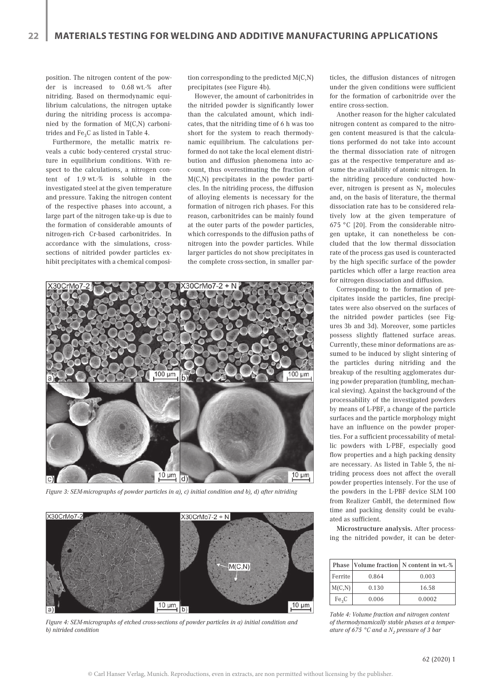position. The nitrogen content of the powder is increased to 0.68 wt.-% after nitriding. Based on thermodynamic equilibrium calculations, the nitrogen uptake during the nitriding process is accompanied by the formation of M(C,N) carbonitrides and  $Fe<sub>3</sub>C$  as listed in Table 4.

Furthermore, the metallic matrix reveals a cubic body-centered crystal structure in equilibrium conditions. With respect to the calculations, a nitrogen content of 1.9 wt.-% is soluble in the investigated steel at the given temperature and pressure. Taking the nitrogen content of the respective phases into account, a large part of the nitrogen take-up is due to the formation of considerable amounts of nitrogen-rich Cr-based carbonitrides. In accordance with the simulations, crosssections of nitrided powder particles exhibit precipitates with a chemical composition corresponding to the predicted M(C,N) precipitates (see Figure 4b).

However, the amount of carbonitrides in the nitrided powder is significantly lower than the calculated amount, which indicates, that the nitriding time of 6 h was too short for the system to reach thermodynamic equilibrium. The calculations performed do not take the local element distribution and diffusion phenomena into account, thus overestimating the fraction of M(C,N) precipitates in the powder particles. In the nitriding process, the diffusion of alloying elements is necessary for the formation of nitrogen rich phases. For this reason, carbonitrides can be mainly found at the outer parts of the powder particles, which corresponds to the diffusion paths of nitrogen into the powder particles. While larger particles do not show precipitates in the complete cross-section, in smaller par-



*Figure 3: SEM-micrographs of powder particles in a), c) initial condition and b), d) after nitriding*



*Figure 4: SEM-micrographs of etched cross-sections of powder particles in a) initial condition and b) nitrided condition*

ticles, the diffusion distances of nitrogen under the given conditions were sufficient for the formation of carbonitride over the entire cross-section.

Another reason for the higher calculated nitrogen content as compared to the nitrogen content measured is that the calculations performed do not take into account the thermal dissociation rate of nitrogen gas at the respective temperature and assume the availability of atomic nitrogen. In the nitriding procedure conducted however, nitrogen is present as  $N_2$  molecules and, on the basis of literature, the thermal dissociation rate has to be considered relatively low at the given temperature of 675 °C [20]. From the considerable nitrogen uptake, it can nonetheless be concluded that the low thermal dissociation rate of the process gas used is counteracted by the high specific surface of the powder particles which offer a large reaction area for nitrogen dissociation and diffusion.

Corresponding to the formation of precipitates inside the particles, fine precipitates were also observed on the surfaces of the nitrided powder particles (see Figures 3b and 3d). Moreover, some particles possess slightly flattened surface areas. Currently, these minor deformations are assumed to be induced by slight sintering of the particles during nitriding and the breakup of the resulting agglomerates during powder preparation (tumbling, mechanical sieving). Against the background of the processability of the investigated powders by means of L-PBF, a change of the particle surfaces and the particle morphology might have an influence on the powder properties. For a sufficient processability of metallic powders with L-PBF, especially good flow properties and a high packing density are necessary. As listed in Table 5, the nitriding process does not affect the overall powder properties intensely. For the use of the powders in the L-PBF device SLM 100 from Realizer GmbH, the determined flow time and packing density could be evaluated as sufficient.

Microstructure analysis. After processing the nitrided powder, it can be deter-

|                   |       | Phase Volume fraction N content in wt.-% |
|-------------------|-------|------------------------------------------|
| Ferrite           | 0.864 | 0.003                                    |
| M(C,N)            | 0.130 | 16.58                                    |
| Fe <sub>3</sub> C | 0.006 | 0.0002                                   |

*Table 4: Volume fraction and nitrogen content of thermodynamically stable phases at a temperature of 675* °C and a N<sub>2</sub> pressure of 3 bar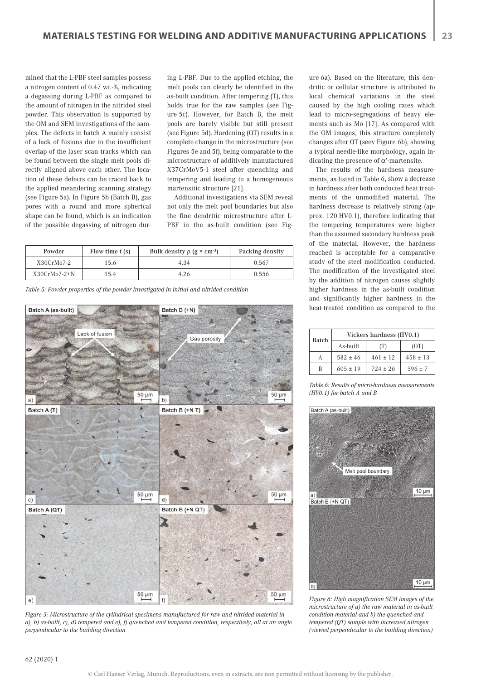mined that the L-PBF steel samples possess a nitrogen content of 0.47 wt.-%, indicating a degassing during L-PBF as compared to the amount of nitrogen in the nitrided steel powder. This observation is supported by the OM and SEM investigations of the samples. The defects in batch A mainly consist of a lack of fusions due to the insufficient overlap of the laser scan tracks which can be found between the single melt pools directly aligned above each other. The location of these defects can be traced back to the applied meandering scanning strategy (see Figure 5a). In Figure 5b (Batch B), gas pores with a round and more spherical shape can be found, which is an indication of the possible degassing of nitrogen during L-PBF. Due to the applied etching, the melt pools can clearly be identified in the as-built condition. After tempering (T), this holds true for the raw samples (see Figure 5c). However, for Batch B, the melt pools are barely visible but still present (see Figure 5d). Hardening (QT) results in a complete change in the microstructure (see Figures 5e and 5f), being comparable to the microstructure of additively manufactured X37CrMoV5-1 steel after quenching and tempering and leading to a homogeneous martensitic structure [21].

Additional investigations via SEM reveal not only the melt pool boundaries but also the fine dendritic microstructure after L-PBF in the as-built condition (see Fig-

| Powder         | Flow time $t(s)$ | Bulk density $\rho$ (g $\times$ cm <sup>-3</sup> ) | Packing density |
|----------------|------------------|----------------------------------------------------|-----------------|
| X30CrMo7-2     | 5.6              | 4.34                                               | 0.567           |
| $X30CrMo7-2+N$ | 15.4             | 4.26                                               | 0.556           |

*Table 5: Powder properties of the powder investigated in initial and nitrided condition*



*Figure 5: Microstructure of the cylindrical specimens manufactured for raw and nitrided material in a), b) as-built, c), d) tempered and e), f) quenched and tempered condition, respectively, all at an angle perpendicular to the building direction*

ure 6a). Based on the literature, this dendritic or cellular structure is attributed to local chemical variations in the steel caused by the high cooling rates which lead to micro-segregations of heavy elements such as Mo [17]. As compared with the OM images, this structure completely changes after QT (seev Figure 6b), showing a typical needle-like morphology, again indicating the presence of  $\alpha$ '-martensite.

The results of the hardness measurements, as listed in Table 6, show a decrease in hardness after both conducted heat treatments of the unmodified material. The hardness decrease is relatively strong (approx. 120 HV0.1), therefore indicating that the tempering temperatures were higher than the assumed secondary hardness peak of the material. However, the hardness reached is acceptable for a comparative study of the steel modification conducted. The modification of the investigated steel by the addition of nitrogen causes slightly higher hardness in the as-built condition and significantly higher hardness in the heat-treated condition as compared to the

|              | Vickers hardness (HV0.1) |              |              |  |  |
|--------------|--------------------------|--------------|--------------|--|--|
| <b>Batch</b> | As-built                 | (T)          | (QT)         |  |  |
| A            | $582 \pm 46$             | $461 \pm 12$ | $458 \pm 13$ |  |  |
| B            | $605 \pm 19$             | $724 \pm 26$ | $596 \pm 7$  |  |  |

*Table 6: Results of micro-hardness measurements (HV0.1) for batch A and B*



*Figure 6: High magnification SEM images of the microstructure of a) the raw material in as-built condition material and b) the quenched and tempered (QT) sample with increased nitrogen (viewed perpendicular to the building direction)*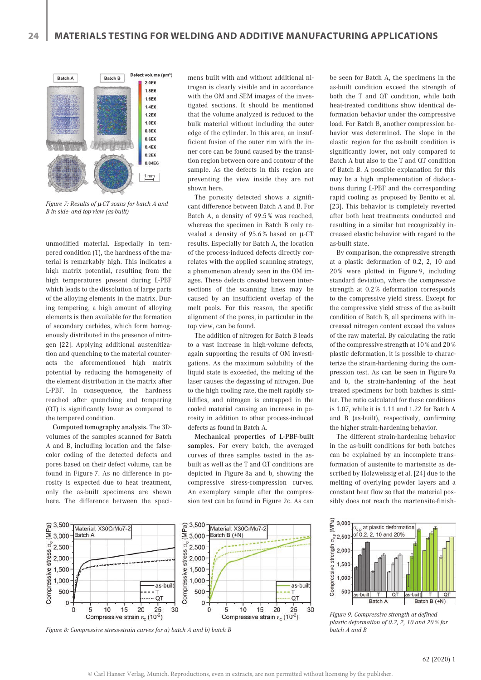

*Figure 7: Results of* µ*-CT scans for batch A and B in side- and top-view (as-built)*

unmodified material. Especially in tempered condition (T), the hardness of the material is remarkably high. This indicates a high matrix potential, resulting from the high temperatures present during L-PBF which leads to the dissolution of large parts of the alloying elements in the matrix. During tempering, a high amount of alloying elements is then available for the formation of secondary carbides, which form homogenously distributed in the presence of nitrogen [22]. Applying additional austenitization and quenching to the material counteracts the aforementioned high matrix potential by reducing the homogeneity of the element distribution in the matrix after L-PBF. In consequence, the hardness reached after quenching and tempering (QT) is significantly lower as compared to the tempered condition.

Computed tomography analysis. The 3Dvolumes of the samples scanned for Batch A and B, including location and the falsecolor coding of the detected defects and pores based on their defect volume, can be found in Figure 7. As no difference in porosity is expected due to heat treatment, only the as-built specimens are shown here. The difference between the specimens built with and without additional nitrogen is clearly visible and in accordance with the OM and SEM images of the investigated sections. It should be mentioned that the volume analyzed is reduced to the bulk material without including the outer edge of the cylinder. In this area, an insufficient fusion of the outer rim with the inner core can be found caused by the transition region between core and contour of the sample. As the defects in this region are preventing the view inside they are not shown here.

The porosity detected shows a significant difference between Batch A and B. For Batch A, a density of 99.5 % was reached, whereas the specimen in Batch B only revealed a density of 95.6 % based on µ-CT results. Especially for Batch A, the location of the process-induced defects directly correlates with the applied scanning strategy, a phenomenon already seen in the OM images. These defects created between intersections of the scanning lines may be caused by an insufficient overlap of the melt pools. For this reason, the specific alignment of the pores, in particular in the top view, can be found.

The addition of nitrogen for Batch B leads to a vast increase in high-volume defects, again supporting the results of OM investigations. As the maximum solubility of the liquid state is exceeded, the melting of the laser causes the degassing of nitrogen. Due to the high cooling rate, the melt rapidly solidifies, and nitrogen is entrapped in the cooled material causing an increase in porosity in addition to other process-induced defects as found in Batch A.

Mechanical properties of L-PBF-built samples. For every batch, the averaged curves of three samples tested in the asbuilt as well as the T and QT conditions are depicted in Figure 8a and b, showing the compressive stress-compression curves. An exemplary sample after the compression test can be found in Figure 2c. As can

be seen for Batch A, the specimens in the as-built condition exceed the strength of both the T and QT condition, while both heat-treated conditions show identical deformation behavior under the compressive load. For Batch B, another compression behavior was determined. The slope in the elastic region for the as-built condition is significantly lower, not only compared to Batch A but also to the T and QT condition of Batch B. A possible explanation for this may be a high implementation of dislocations during L-PBF and the corresponding rapid cooling as proposed by Benito et al. [23]. This behavior is completely reverted after both heat treatments conducted and resulting in a similar but recognizably increased elastic behavior with regard to the as-built state.

By comparison, the compressive strength at a plastic deformation of 0.2, 2, 10 and 20 % were plotted in Figure 9, including standard deviation, where the compressive strength at 0.2 % deformation corresponds to the compressive yield stress. Except for the compressive yield stress of the as-built condition of Batch B, all specimens with increased nitrogen content exceed the values of the raw material. By calculating the ratio of the compressive strength at 10 % and 20 % plastic deformation, it is possible to characterize the strain-hardening during the compression test. As can be seen in Figure 9a and b, the strain-hardening of the heat treated specimens for both batches is similar. The ratio calculated for these conditions is 1.07, while it is 1.11 and 1.22 for Batch A and B (as-built), respectively, confirming the higher strain-hardening behavior.

The different strain-hardening behavior in the as-built conditions for both batches can be explained by an incomplete transformation of austenite to martensite as described by Holzweissig et al. [24] due to the melting of overlying powder layers and a constant heat flow so that the material possibly does not reach the martensite-finish-



*Figure 8: Compressive stress-strain curves for a) batch A and b) batch B batch A and B*



*Figure 9: Compressive strength at defined plastic deformation of 0.2, 2, 10 and 20 % for*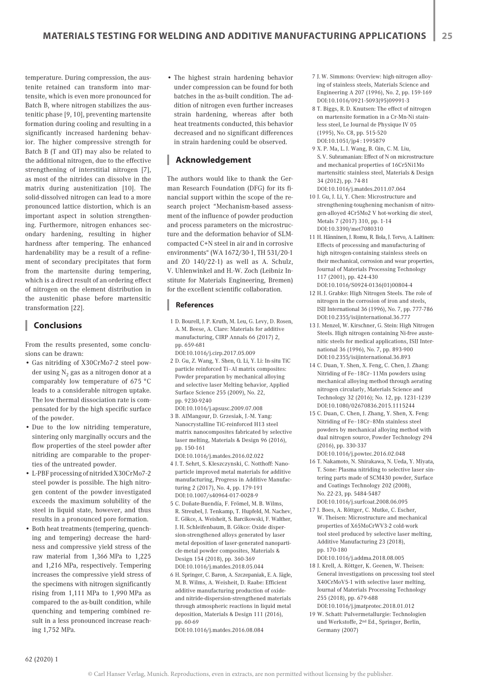temperature. During compression, the austenite retained can transform into martensite, which is even more pronounced for Batch B, where nitrogen stabilizes the austenitic phase [9, 10], preventing martensite formation during cooling and resulting in a significantly increased hardening behavior. The higher compressive strength for Batch B (T and QT) may also be related to the additional nitrogen, due to the effective strengthening of interstitial nitrogen [7], as most of the nitrides can dissolve in the matrix during austenitization [10]. The solid-dissolved nitrogen can lead to a more pronounced lattice distortion, which is an important aspect in solution strengthening. Furthermore, nitrogen enhances secondary hardening, resulting in higher hardness after tempering. The enhanced hardenability may be a result of a refinement of secondary precipitates that form from the martensite during tempering, which is a direct result of an ordering effect of nitrogen on the element distribution in the austenitic phase before martensitic transformation [22].

# **Conclusions**

From the results presented, some conclusions can be drawn:

- Gas nitriding of X30CrMo7-2 steel powder using  $N_2$  gas as a nitrogen donor at a comparably low temperature of 675 °C leads to a considerable nitrogen uptake. The low thermal dissociation rate is compensated for by the high specific surface of the powder.
- Due to the low nitriding temperature, sintering only marginally occurs and the flow properties of the steel powder after nitriding are comparable to the properties of the untreated powder.
- L-PBF processing of nitrided X30CrMo7-2 steel powder is possible. The high nitrogen content of the powder investigated exceeds the maximum solubility of the steel in liquid state, however, and thus results in a pronounced pore formation.
- Both heat treatments (tempering, quenching and tempering) decrease the hardness and compressive yield stress of the raw material from 1,366 MPa to 1,225 and 1,216 MPa, respectively. Tempering increases the compressive yield stress of the specimens with nitrogen significantly rising from 1,111 MPa to 1,990 MPa as compared to the as-built condition, while quenching and tempering combined result in a less pronounced increase reaching 1,752 MPa.

• The highest strain hardening behavior under compression can be found for both batches in the as-built condition. The addition of nitrogen even further increases strain hardening, whereas after both heat treatments conducted, this behavior decreased and no significant differences in strain hardening could be observed.

## **Acknowledgement**

The authors would like to thank the German Research Foundation (DFG) for its financial support within the scope of the research project "Mechanism-based assessment of the influence of powder production and process parameters on the microstructure and the deformation behavior of SLMcompacted C+N steel in air and in corrosive environments" (WA 1672/30-1, TH 531/20-1 and ZO 140/22-1) as well as A. Schulz, V. Uhlenwinkel and H.-W. Zoch (Leibniz Institute for Materials Engineering, Bremen) for the excellent scientific collaboration.

### **References**

- 1 D. Bourell, J. P. Kruth, M. Leu, G. Levy, D. Rosen, A. M. Beese, A. Clare: Materials for additive manufacturing, CIRP Annals 66 (2017) 2, pp. 659-681 DOI:10.1016/j.cirp.2017.05.009
- 2 D. Gu, Z. Wang, Y. Shen, Q. Li, Y. Li: In-situ TiC particle reinforced Ti–Al matrix composites: Powder preparation by mechanical alloying and selective laser Melting behavior, Applied Surface Science 255 (2009), No. 22, pp. 9230-9240
- DOI:10.1016/j.apsusc.2009.07.008 3 B. AlMangour, D. Grzesiak, J.-M. Yang: Nanocrystalline TiC-reinforced H13 steel matrix nanocomposites fabricated by selective laser melting, Materials & Design 96 (2016), pp. 150-161
- DOI:10.1016/j.matdes.2016.02.022 4 J. T. Sehrt, S. Kleszczynski, C. Notthoff: Nanoparticle improved metal materials for additive manufacturing, Progress in Additive Manufacturing 2 (2017), No. 4, pp. 179-191 DOI:10.1007/s40964-017-0028-9
- 5 C. Doñate-Buendía, F. Frömel, M. B. Wilms, R. Streubel, J. Tenkamp, T. Hupfeld, M. Nachev, E. Gökce, A. Weisheit, S. Barcikowski, F. Walther, J. H. Schleifenbaum, B. Gökce: Oxide dispersion-strengthened alloys generated by laser metal deposition of laser-generated nanoparticle-metal powder composites, Materials & Design 154 (2018), pp. 360-369 DOI:10.1016/j.matdes.2018.05.044
- 6 H. Springer, C. Baron, A. Szczepaniak, E.A. Jägle, M. B. Wilms, A. Weisheit, D. Raabe: Efficient additive manufacturing production of oxideand nitride-dispersion-strengthened materials through atmospheric reactions in liquid metal deposition, Materials & Design 111 (2016), pp. 60-69

DOI:10.1016/j.matdes.2016.08.084

- 7 J. W. Simmons: Overview: high-nitrogen alloying of stainless steels, Materials Science and Engineering A 207 (1996), No. 2, pp. 159-169 DOI:10.1016/0921-5093(95)09991-3
- 8 T. Biggs, R. D. Knutsen: The effect of nitrogen on martensite formation in a Cr-Mn-Ni stainless steel, Le Journal de Physique IV 05 (1995), No. C8, pp. 515-520 DOI:10.1051/jp4 : 1995879
- 9 X. P. Ma, L. J. Wang, B. Qin, C. M. Liu, S.V. Subramanian: Effect of N on microstructure and mechanical properties of 16Cr5Ni1Mo martensitic stainless steel, Materials & Design 34 (2012), pp. 74-81 DOI:10.1016/j.matdes.2011.07.064
- 10 J. Gu, J. Li, Y. Chen: Microstructure and strengthening-toughening mechanism of nitrogen-alloyed 4Cr5Mo2 V hot-working die steel, Metals 7 (2017) 310, pp. 1-14 DOI:10.3390/met7080310
- 11 H. Hänninen, J. Romu, R. Ilola, J. Tervo, A. Laitinen: Effects of processing and manufacturing of high nitrogen-containing stainless steels on their mechanical, corrosion and wear properties, Journal of Materials Processing Technology 117 (2001), pp. 424-430
- DOI:10.1016/S0924-0136(01)00804-4 12 H. J. Grabke: High Nitrogen Steels. The role of nitrogen in the corrosion of iron and steels, ISIJ International 36 (1996), No. 7, pp. 777-786 DOI:10.2355/isijinternational.36.777
- 13 J. Menzel, W. Kirschner, G. Stein: High Nitrogen Steels. High nitrogen containing Ni-free austenitic steels for medical applications, ISIJ International 36 (1996), No. 7, pp. 893-900 DOI:10.2355/isijinternational.36.893
- 14 C. Duan, Y. Shen, X. Feng, C. Chen, J. Zhang: Nitriding of Fe–18Cr–11Mn powders using mechanical alloying method through aerating nitrogen circularly, Materials Science and Technology 32 (2016); No. 12, pp. 1231-1239 DOI:10.1080/02670836.2015.1115244
- 15 C. Duan, C. Chen, J. Zhang, Y. Shen, X. Feng: Nitriding of Fe–18Cr–8Mn stainless steel powders by mechanical alloying method with dual nitrogen source, Powder Technology 294 (2016), pp. 330-337
- DOI:10.1016/j.powtec.2016.02.048 16 T. Nakamoto, N. Shirakawa, N. Ueda, Y. Miyata, T. Sone: Plasma nitriding to selective laser sintering parts made of SCM430 powder, Surface and Coatings Technology 202 (2008), No. 22-23, pp. 5484-5487
- DOI:10.1016/j.surfcoat.2008.06.095 17 J. Boes, A. Röttger, C. Mutke, C. Escher,
- W. Theisen: Microstructure and mechanical properties of X65MoCrWV3-2 cold-work tool steel produced by selective laser melting, Additive Manufacturing 23 (2018), pp. 170-180
- DOI:10.1016/j.addma.2018.08.005 18 J. Krell, A. Röttger, K. Geenen, W. Theisen: General investigations on processing tool steel X40CrMoV5-1 with selective laser melting, Journal of Materials Processing Technology 255 (2018), pp. 679-688 DOI:10.1016/j.jmatprotec.2018.01.012
- 19 W. Schatt: Pulvermetallurgie: Technologien und Werkstoffe, 2nd Ed., Springer, Berlin, Germany (2007)